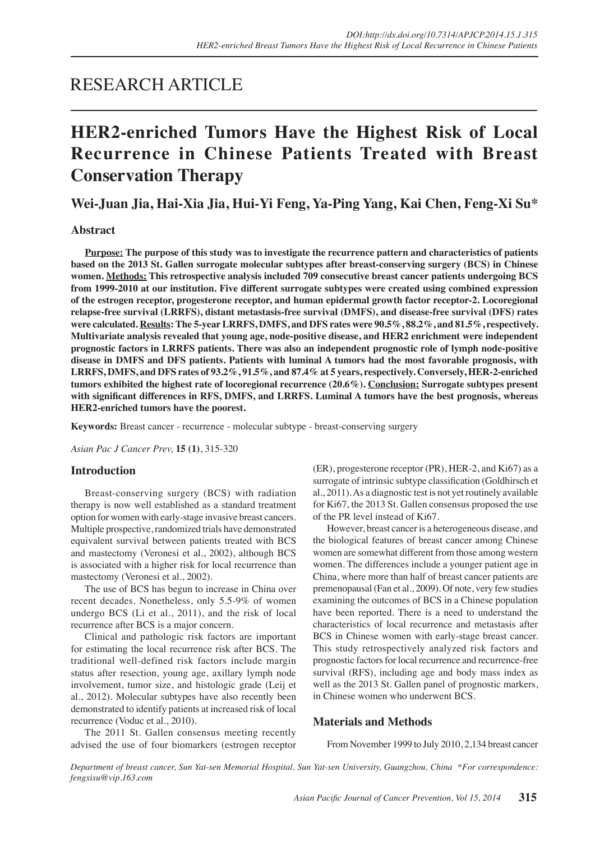# RESEARCH ARTICLE

# **HER2-enriched Tumors Have the Highest Risk of Local Recurrence in Chinese Patients Treated with Breast Conservation Therapy**

**Wei-Juan Jia, Hai-Xia Jia, Hui-Yi Feng, Ya-Ping Yang, Kai Chen, Feng-Xi Su\***

# **Abstract**

**Purpose: The purpose of this study was to investigate the recurrence pattern and characteristics of patients based on the 2013 St. Gallen surrogate molecular subtypes after breast-conserving surgery (BCS) in Chinese women. Methods: This retrospective analysis included 709 consecutive breast cancer patients undergoing BCS from 1999-2010 at our institution. Five different surrogate subtypes were created using combined expression of the estrogen receptor, progesterone receptor, and human epidermal growth factor receptor-2. Locoregional relapse-free survival (LRRFS), distant metastasis-free survival (DMFS), and disease-free survival (DFS) rates were calculated. Results: The 5-year LRRFS, DMFS, and DFS rates were 90.5%, 88.2%, and 81.5%, respectively. Multivariate analysis revealed that young age, node-positive disease, and HER2 enrichment were independent prognostic factors in LRRFS patients. There was also an independent prognostic role of lymph node-positive disease in DMFS and DFS patients. Patients with luminal A tumors had the most favorable prognosis, with LRRFS, DMFS, and DFS rates of 93.2%, 91.5%, and 87.4% at 5 years, respectively. Conversely, HER-2-enriched tumors exhibited the highest rate of locoregional recurrence (20.6%). Conclusion: Surrogate subtypes present**  with significant differences in RFS, DMFS, and LRRFS. Luminal A tumors have the best prognosis, whereas **HER2-enriched tumors have the poorest.**

**Keywords:** Breast cancer - recurrence - molecular subtype - breast-conserving surgery

*Asian Pac J Cancer Prev,* **15 (1)**, 315-320

#### **Introduction**

Breast-conserving surgery (BCS) with radiation therapy is now well established as a standard treatment option for women with early-stage invasive breast cancers. Multiple prospective, randomized trials have demonstrated equivalent survival between patients treated with BCS and mastectomy (Veronesi et al., 2002), although BCS is associated with a higher risk for local recurrence than mastectomy (Veronesi et al., 2002).

The use of BCS has begun to increase in China over recent decades. Nonetheless, only 5.5-9% of women undergo BCS (Li et al., 2011), and the risk of local recurrence after BCS is a major concern.

Clinical and pathologic risk factors are important for estimating the local recurrence risk after BCS. The traditional well-defined risk factors include margin status after resection, young age, axillary lymph node involvement, tumor size, and histologic grade (Leij et al., 2012). Molecular subtypes have also recently been demonstrated to identify patients at increased risk of local recurrence (Voduc et al., 2010).

The 2011 St. Gallen consensus meeting recently advised the use of four biomarkers (estrogen receptor (ER), progesterone receptor (PR), HER-2, and Ki67) as a surrogate of intrinsic subtype classification (Goldhirsch et al., 2011). As a diagnostic test is not yet routinely available for Ki67, the 2013 St. Gallen consensus proposed the use of the PR level instead of Ki67.

However, breast cancer is a heterogeneous disease, and the biological features of breast cancer among Chinese women are somewhat different from those among western women. The differences include a younger patient age in China, where more than half of breast cancer patients are premenopausal (Fan et al., 2009). Of note, very few studies examining the outcomes of BCS in a Chinese population have been reported. There is a need to understand the characteristics of local recurrence and metastasis after BCS in Chinese women with early-stage breast cancer. This study retrospectively analyzed risk factors and prognostic factors for local recurrence and recurrence-free survival (RFS), including age and body mass index as well as the 2013 St. Gallen panel of prognostic markers, in Chinese women who underwent BCS.

#### **Materials and Methods**

From November 1999 to July 2010, 2,134 breast cancer

*Department of breast cancer, Sun Yat-sen Memorial Hospital, Sun Yat-sen University, Guangzhou, China \*For correspondence: fengxisu@vip.163.com*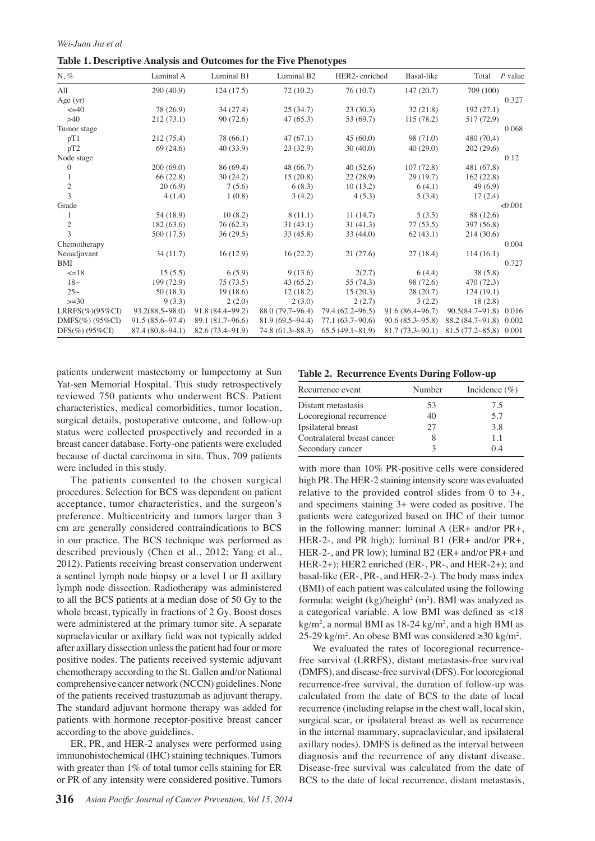*Wei-Juan Jia et al*

**Table 1. Descriptive Analysis and Outcomes for the Five Phenotypes**

| $N, \%$             | Luminal A            | Luminal B1             | Luminal B <sub>2</sub> | HER2-enriched   | Basal-like      | Total                          | $P$ value |
|---------------------|----------------------|------------------------|------------------------|-----------------|-----------------|--------------------------------|-----------|
| All                 | 290(40.9)            | 124(17.5)              | 72(10.2)               | 76(10.7)        | 147(20.7)       | 709 (100)                      |           |
| Age $(yr)$          |                      |                        |                        |                 |                 |                                | 0.327     |
| $\leq 40$           | 78 (26.9)            | 34(27.4)               | 25(34.7)               | 23(30.3)        | 32(21.8)        | 192(27.1)                      |           |
| >40                 | 212(73.1)            | 90(72.6)               | 47(65.3)               | 53 (69.7)       | 115(78.2)       | 517 (72.9)                     |           |
| Tumor stage         |                      |                        |                        |                 |                 |                                | 0.068     |
| pT1                 | 212(75.4)            | 78 (66.1)              | 47(67.1)               | 45(60.0)        | 98 (71.0)       | 480 (70.4)                     |           |
| pT2                 | 69(24.6)             | 40(33.9)               | 23(32.9)               | 30(40.0)        | 40(29.0)        | 202(29.6)                      |           |
| Node stage          |                      |                        |                        |                 |                 |                                | 0.12      |
| $\mathbf{0}$        | 200(69.0)            | 86 (69.4)              | 48(66.7)               | 40(52.6)        | 107(72.8)       | 481 (67.8)                     |           |
| 1                   | 66(22.8)             | 30(24.2)               | 15(20.8)               | 22(28.9)        | 29(19.7)        | 162(22.8)                      |           |
| $\sqrt{2}$          | 20(6.9)              | 7(5.6)                 | 6(8.3)                 | 10(13.2)        | 6(4.1)          | 49(6.9)                        |           |
| 3                   | 4(1.4)               | 1(0.8)                 | 3(4.2)                 | 4(5.3)          | 5(3.4)          | 17(2.4)                        |           |
| Grade               |                      |                        |                        |                 |                 |                                | < 0.001   |
|                     | 54 (18.9)            | 10(8.2)                | 8(11.1)                | 11(14.7)        | 5(3.5)          | 88 (12.6)                      |           |
| $\frac{2}{3}$       | 182(63.6)            | 76(62.3)               | 31(43.1)               | 31(41.3)        | 77(53.5)        | 397 (56.8)                     |           |
|                     | 500 (17.5)           | 36(29.5)               | 33(45.8)               | 33(44.0)        | 62(43.1)        | 214(30.6)                      |           |
| Chemotherapy        |                      |                        |                        |                 |                 |                                | 0.004     |
| Neoadjuvant         | 34(11.7)             | 16(12.9)               | 16(22.2)               | 21(27.6)        | 27(18.4)        | 114(16.1)                      |           |
| <b>BMI</b>          |                      |                        |                        |                 |                 |                                | 0.727     |
| $=18$               | 15(5.5)              | 6(5.9)                 | 9(13.6)                | 2(2.7)          | 6(4.4)          | 38(5.8)                        |           |
| $18\sim$            | 199 (72.9)           | 75(73.5)               | 43(65.2)               | 55 (74.3)       | 98 (72.6)       | 470 (72.3)                     |           |
| $25\sim$            | 50(18.3)             | 19(18.6)               | 12(18.2)               | 15(20.3)        | 28(20.7)        | 124(19.1)                      |           |
| $>=30$              | 9(3.3)               | 2(2.0)                 | 2(3.0)                 | 2(2.7)          | 3(2.2)          | 18(2.8)                        |           |
| $LRRFS(\%)(95\%CI)$ | $93.2(88.5\sim98.0)$ | $91.8(84.4 \sim 99.2)$ | 88.0(79.7~96.4)        | 79.4(62.2~96.5) | 91.6(86.4~96.7) | $90.5(84.7 \sim 91.8)$ 0.016   |           |
| DMFS $(\%)$ (95%CI) | $91.5(85.6\sim97.4)$ | $89.1(81.7\sim96.6)$   | 81.9(69.5~94.4)        | 77.1(63.7~90.6) | 90.6(85.3~95.8) | 88.2 (84.7~91.8) 0.002         |           |
| $DFS(\%) (95\%CI)$  | 87.4(80.8~94.1)      | $82.6(73.4\sim91.9)$   | 74.8(61.3~8.3)         | 65.5(49.1~81.9) | 81.7(73.3~90.1) | $81.5(77.2 \times 85.8) 0.001$ |           |

patients underwent mastectomy or lumpectomy at Sun Yat-sen Memorial Hospital. This study retrospectively reviewed 750 patients who underwent BCS. Patient characteristics, medical comorbidities, tumor location, surgical details, postoperative outcome, and follow-up status were collected prospectively and recorded in a breast cancer database. Forty-one patients were excluded because of ductal carcinoma in situ. Thus, 709 patients were included in this study.

The patients consented to the chosen surgical procedures. Selection for BCS was dependent on patient acceptance, tumor characteristics, and the surgeon's preference. Multicentricity and tumors larger than 3 cm are generally considered contraindications to BCS in our practice. The BCS technique was performed as described previously (Chen et al., 2012; Yang et al., 2012). Patients receiving breast conservation underwent a sentinel lymph node biopsy or a level I or II axillary lymph node dissection. Radiotherapy was administered to all the BCS patients at a median dose of 50 Gy to the whole breast, typically in fractions of 2 Gy. Boost doses were administered at the primary tumor site. A separate supraclavicular or axillary field was not typically added after axillary dissection unless the patient had four or more positive nodes. The patients received systemic adjuvant chemotherapy according to the St. Gallen and/or National comprehensive cancer network (NCCN) guidelines. None of the patients received trastuzumab as adjuvant therapy. The standard adjuvant hormone therapy was added for patients with hormone receptor-positive breast cancer according to the above guidelines.

ER, PR, and HER-2 analyses were performed using immunohistochemical (IHC) staining techniques. Tumors with greater than 1% of total tumor cells staining for ER or PR of any intensity were considered positive. Tumors

**Table 2. Recurrence Events During Follow-up**

| Recurrence event            | Number | Incidence $(\% )$ |
|-----------------------------|--------|-------------------|
| Distant metastasis          | 53     | 7.5               |
| Locoregional recurrence     | 40     | 5.7               |
| Ipsilateral breast          | 27     | 3.8               |
| Contralateral breast cancer |        | 1.1               |
| Secondary cancer            |        | 04                |

with more than 10% PR-positive cells were considered high PR. The HER-2 staining intensity score was evaluated relative to the provided control slides from 0 to 3+, and specimens staining 3+ were coded as positive. The patients were categorized based on IHC of their tumor in the following manner: luminal A (ER+ and/or PR+, HER-2-, and PR high); luminal B1 (ER+ and/or PR+, HER-2-, and PR low); luminal B2 (ER+ and/or PR+ and HER-2+); HER2 enriched (ER-, PR-, and HER-2+); and basal-like (ER-, PR-, and HER-2-). The body mass index (BMI) of each patient was calculated using the following formula: weight  $(kg)/height<sup>2</sup>$  (m<sup>2</sup>). BMI was analyzed as a categorical variable. A low BMI was defined as  $\langle 18 \rangle$  $kg/m<sup>2</sup>$ , a normal BMI as 18-24  $kg/m<sup>2</sup>$ , and a high BMI as 25-29 kg/m<sup>2</sup>. An obese BMI was considered  $\geq$  30 kg/m<sup>2</sup>.

We evaluated the rates of locoregional recurrencefree survival (LRRFS), distant metastasis-free survival (DMFS), and disease-free survival (DFS). For locoregional recurrence-free survival, the duration of follow-up was calculated from the date of BCS to the date of local recurrence (including relapse in the chest wall, local skin, surgical scar, or ipsilateral breast as well as recurrence in the internal mammary, supraclavicular, and ipsilateral axillary nodes). DMFS is defined as the interval between diagnosis and the recurrence of any distant disease. Disease-free survival was calculated from the date of BCS to the date of local recurrence, distant metastasis,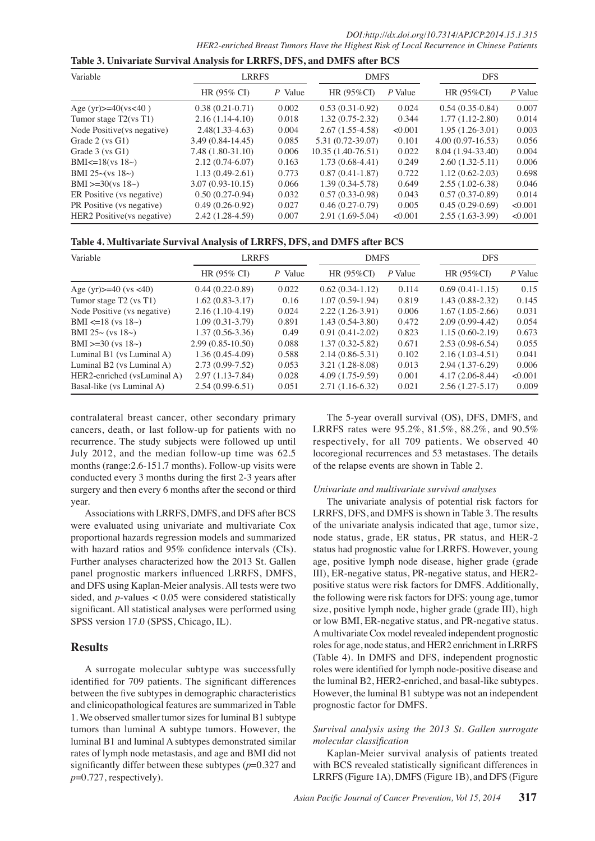| DOI:http://dx.doi.org/10.7314/APJCP.2014.15.1.315                                         |
|-------------------------------------------------------------------------------------------|
| HER2-enriched Breast Tumors Have the Highest Risk of Local Recurrence in Chinese Patients |

| Variable                    | <b>LRRFS</b>        |         | <b>DMFS</b>         |         | <b>DFS</b>          |         |
|-----------------------------|---------------------|---------|---------------------|---------|---------------------|---------|
|                             | HR (95% CI)         | P Value | HR $(95\%CI)$       | P Value | HR (95%CI)          | P Value |
| Age $(yr)$ = 40 $(ys<40)$   | $0.38(0.21-0.71)$   | 0.002   | $0.53(0.31-0.92)$   | 0.024   | $0.54(0.35-0.84)$   | 0.007   |
| Tumor stage $T2(vsT1)$      | $2.16(1.14-4.10)$   | 0.018   | $1.32(0.75-2.32)$   | 0.344   | $1.77(1.12 - 2.80)$ | 0.014   |
| Node Positive (vs negative) | $2.48(1.33 - 4.63)$ | 0.004   | $2.67(1.55-4.58)$   | < 0.001 | $1.95(1.26-3.01)$   | 0.003   |
| Grade $2$ (vs $G1$ )        | 3.49 (0.84-14.45)   | 0.085   | 5.31 (0.72-39.07)   | 0.101   | $4.00(0.97-16.53)$  | 0.056   |
| Grade $3$ (vs $G1$ )        | 7.48 (1.80-31.10)   | 0.006   | $10.35(1.40-76.51)$ | 0.022   | 8.04 (1.94-33.40)   | 0.004   |
| BMI<=18( $vs$ 18 $\sim$ )   | $2.12(0.74-6.07)$   | 0.163   | $1.73(0.68-4.41)$   | 0.249   | $2.60(1.32 - 5.11)$ | 0.006   |
| BMI 25~(vs $18$ ~)          | $1.13(0.49-2.61)$   | 0.773   | $0.87(0.41-1.87)$   | 0.722   | $1.12(0.62 - 2.03)$ | 0.698   |
| BMI $>=30$ (vs 18 $\sim$ )  | $3.07(0.93-10.15)$  | 0.066   | $1.39(0.34 - 5.78)$ | 0.649   | $2.55(1.02-6.38)$   | 0.046   |
| ER Positive (vs negative)   | $0.50(0.27-0.94)$   | 0.032   | $0.57(0.33-0.98)$   | 0.043   | $0.57(0.37-0.89)$   | 0.014   |
| PR Positive (vs negative)   | $0.49(0.26-0.92)$   | 0.027   | $0.46(0.27-0.79)$   | 0.005   | $0.45(0.29-0.69)$   | <0.001  |
| HER2 Positive (vs negative) | 2.42 (1.28-4.59)    | 0.007   | 2.91 (1.69-5.04)    | < 0.001 | $2.55(1.63-3.99)$   | <0.001  |

|  | Table 4. Multivariate Survival Analysis of LRRFS, DFS, and DMFS after BCS |
|--|---------------------------------------------------------------------------|
|  |                                                                           |

Table 3. Univariate Survival Analysis for LRRFS, DFS, and DMFS after BCS

| Variable                      | <b>LRRFS</b>        |         | <b>DMFS</b>         |         | <b>DFS</b>        |         |
|-------------------------------|---------------------|---------|---------------------|---------|-------------------|---------|
|                               | HR (95% CI)         | P Value | HR $(95\%CI)$       | P Value | HR $(95\%CI)$     | P Value |
| Age (yr) $>=$ 40 (ys <40)     | $0.44(0.22-0.89)$   | 0.022   | $0.62(0.34-1.12)$   | 0.114   | $0.69(0.41-1.15)$ | 0.15    |
| Tumor stage T2 (vs T1)        | $1.62(0.83-3.17)$   | 0.16    | $1.07(0.59-1.94)$   | 0.819   | $1.43(0.88-2.32)$ | 0.145   |
| Node Positive (vs negative)   | $2.16(1.10-4.19)$   | 0.024   | $2.22(1.26-3.91)$   | 0.006   | $1.67(1.05-2.66)$ | 0.031   |
| BMI <= 18 (vs $18$ $\sim$ )   | $1.09(0.31-3.79)$   | 0.891   | $1.43(0.54-3.80)$   | 0.472   | $2.09(0.99-4.42)$ | 0.054   |
| BMI 25 $\sim$ (vs 18 $\sim$ ) | $1.37(0.56-3.36)$   | 0.49    | $0.91(0.41-2.02)$   | 0.823   | $1.15(0.60-2.19)$ | 0.673   |
| BMI $>=30$ (vs $18\sim$ )     | $2.99(0.85-10.50)$  | 0.088   | $1.37(0.32 - 5.82)$ | 0.671   | $2.53(0.98-6.54)$ | 0.055   |
| Luminal B1 (vs Luminal A)     | $1.36(0.45-4.09)$   | 0.588   | $2.14(0.86 - 5.31)$ | 0.102   | $2.16(1.03-4.51)$ | 0.041   |
| Luminal B2 (vs Luminal A)     | $2.73(0.99 - 7.52)$ | 0.053   | $3.21(1.28-8.08)$   | 0.013   | $2.94(1.37-6.29)$ | 0.006   |
| HER2-enriched (vsLuminal A)   | $2.97(1.13 - 7.84)$ | 0.028   | $4.09(1.75-9.59)$   | 0.001   | $4.17(2.06-8.44)$ | < 0.001 |
| Basal-like (vs Luminal A)     | $2.54(0.99-6.51)$   | 0.051   | $2.71(1.16-6.32)$   | 0.021   | $2.56(1.27-5.17)$ | 0.009   |

contralateral breast cancer, other secondary primary cancers, death, or last follow-up for patients with no recurrence. The study subjects were followed up until July 2012, and the median follow-up time was 62.5 months (range: 2.6-151.7 months). Follow-up visits were conducted every 3 months during the first 2-3 years after surgery and then every 6 months after the second or third year.

Associations with LRRFS, DMFS, and DFS after BCS were evaluated using univariate and multivariate Cox proportional hazards regression models and summarized with hazard ratios and 95% confidence intervals (CIs). Further analyses characterized how the 2013 St. Gallen panel prognostic markers influenced LRRFS, DMFS, and DFS using Kaplan-Meier analysis. All tests were two sided, and  $p$ -values < 0.05 were considered statistically significant. All statistical analyses were performed using SPSS version 17.0 (SPSS, Chicago, IL).

# **Results**

A surrogate molecular subtype was successfully identified for 709 patients. The significant differences between the five subtypes in demographic characteristics and clinicopathological features are summarized in Table 1. We observed smaller tumor sizes for luminal B1 subtype tumors than luminal A subtype tumors. However, the luminal B1 and luminal A subtypes demonstrated similar rates of lymph node metastasis, and age and BMI did not significantly differ between these subtypes  $(p=0.327$  and  $p=0.727$ , respectively).

The 5-year overall survival (OS), DFS, DMFS, and LRRFS rates were 95.2%, 81.5%, 88.2%, and 90.5% respectively, for all 709 patients. We observed 40 locoregional recurrences and 53 metastases. The details of the relapse events are shown in Table 2.

#### Univariate and multivariate survival analyses

The univariate analysis of potential risk factors for LRRFS, DFS, and DMFS is shown in Table 3. The results of the univariate analysis indicated that age, tumor size, node status, grade, ER status, PR status, and HER-2 status had prognostic value for LRRFS. However, young age, positive lymph node disease, higher grade (grade III), ER-negative status, PR-negative status, and HER2positive status were risk factors for DMFS. Additionally, the following were risk factors for DFS: young age, tumor size, positive lymph node, higher grade (grade III), high or low BMI, ER-negative status, and PR-negative status. A multivariate Cox model revealed independent prognostic roles for age, node status, and HER2 enrichment in LRRFS (Table 4). In DMFS and DFS, independent prognostic roles were identified for lymph node-positive disease and the luminal B2, HER2-enriched, and basal-like subtypes. However, the luminal B1 subtype was not an independent prognostic factor for DMFS.

# Survival analysis using the 2013 St. Gallen surrogate molecular classification

Kaplan-Meier survival analysis of patients treated with BCS revealed statistically significant differences in LRRFS (Figure 1A), DMFS (Figure 1B), and DFS (Figure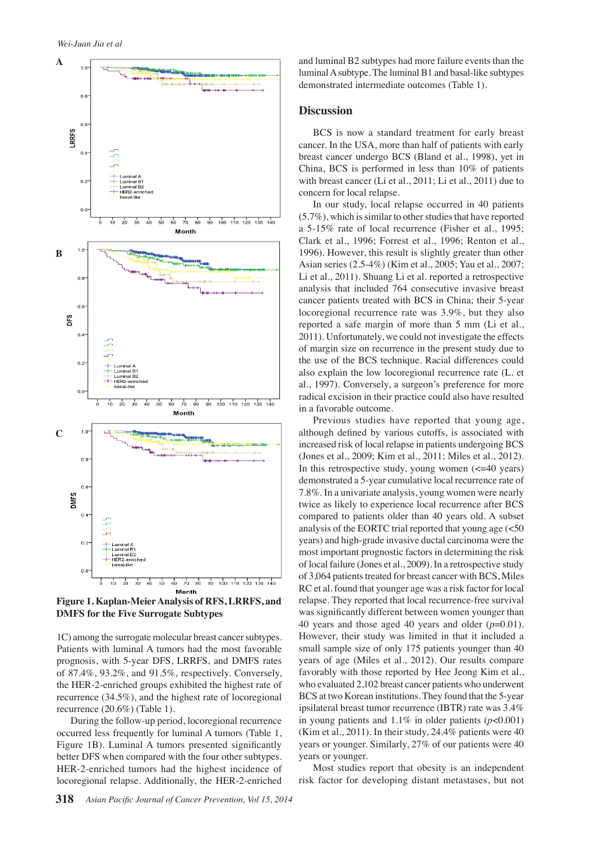

**Figure 1. Kaplan-Meier Analysis of RFS, LRRFS, and DMFS for the Five Surrogate Subtypes** 

1C) among the surrogate molecular breast cancer subtypes. Patients with luminal A tumors had the most favorable prognosis, with 5-year DFS, LRRFS, and DMFS rates of  $87.4\%$ ,  $93.2\%$ , and  $91.5\%$ , respectively. Conversely, the HER-2-enriched groups exhibited the highest rate of recurrence (34.5%), and the highest rate of locoregional recurrence (20.6%) (Table 1).

During the follow-up period, locoregional recurrence occurred less frequently for luminal A tumors (Table 1, Figure 1B). Luminal A tumors presented significantly better DFS when compared with the four other subtypes. HER-2-enriched tumors had the highest incidence of locoregional relapse. Additionally, the HER-2-enriched

and luminal B2 subtypes had more failure events than the luminal A subtype. The luminal B1 and basal-like subtypes demonstrated intermediate outcomes (Table 1).

#### **Discussion**

BCS is now a standard treatment for early breast cancer. In the USA, more than half of patients with early breast cancer undergo BCS (Bland et al., 1998), yet in China, BCS is performed in less than 10% of patients with breast cancer (Li et al., 2011; Li et al., 2011) due to concern for local relapse.

In our study, local relapse occurred in 40 patients (5.7%), which is similar to other studies that have reported a 5-15% rate of local recurrence (Fisher et al., 1995; Clark et al., 1996; Forrest et al., 1996; Renton et al., 1996). However, this result is slightly greater than other Asian series (2.5-4%) (Kim et al., 2005; Yau et al., 2007; Li et al., 2011). Shuang Li et al. reported a retrospective analysis that included 764 consecutive invasive breast cancer patients treated with BCS in China; their 5-year locoregional recurrence rate was 3.9%, but they also reported a safe margin of more than 5 mm (Li et al., 2011). Unfortunately, we could not investigate the effects of margin size on recurrence in the present study due to the use of the BCS technique. Racial differences could also explain the low locoregional recurrence rate (L. et al., 1997). Conversely, a surgeon's preference for more radical excision in their practice could also have resulted in a favorable outcome.

Previous studies have reported that young age, although defined by various cutoffs, is associated with increased risk of local relapse in patients undergoing BCS (Jones et al., 2009; Kim et al., 2011; Miles et al., 2012). In this retrospective study, young women  $\left( \langle =40 \rangle \right)$  years) demonstrated a 5-year cumulative local recurrence rate of 7.8%. In a univariate analysis, young women were nearly twice as likely to experience local recurrence after BCS compared to patients older than 40 years old. A subset analysis of the EORTC trial reported that young age  $\left($  <50 years) and high-grade invasive ductal carcinoma were the most important prognostic factors in determining the risk of local failure (Jones et al., 2009). In a retrospective study of 3,064 patients treated for breast cancer with BCS, Miles RC et al. found that younger age was a risk factor for local relapse. They reported that local recurrence-free survival was significantly different between women younger than 40 years and those aged 40 years and older  $(p=0.01)$ . However, their study was limited in that it included a small sample size of only 175 patients younger than 40 years of age (Miles et al., 2012). Our results compare favorably with those reported by Hee Jeong Kim et al., who evaluated 2,102 breast cancer patients who underwent BCS at two Korean institutions. They found that the 5-year ipsilateral breast tumor recurrence (IBTR) rate was 3.4% in young patients and  $1.1\%$  in older patients ( $p<0.001$ ) (Kim et al., 2011). In their study, 24.4% patients were 40 years or younger. Similarly, 27% of our patients were 40 years or younger.

Most studies report that obesity is an independent risk factor for developing distant metastases, but not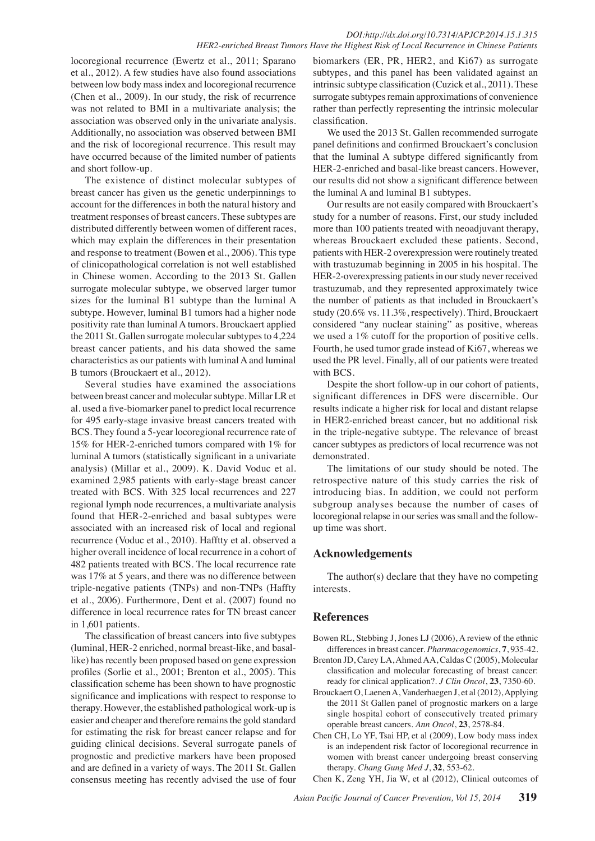#### *DOI:http://dx.doi.org/10.7314/APJCP.2014.15.1.315 HER2-enriched Breast Tumors Have the Highest Risk of Local Recurrence in Chinese Patients*

locoregional recurrence (Ewertz et al., 2011; Sparano et al., 2012). A few studies have also found associations between low body mass index and locoregional recurrence (Chen et al., 2009). In our study, the risk of recurrence was not related to BMI in a multivariate analysis; the association was observed only in the univariate analysis. Additionally, no association was observed between BMI and the risk of locoregional recurrence. This result may have occurred because of the limited number of patients and short follow-up.

The existence of distinct molecular subtypes of breast cancer has given us the genetic underpinnings to account for the differences in both the natural history and treatment responses of breast cancers. These subtypes are distributed differently between women of different races, which may explain the differences in their presentation and response to treatment (Bowen et al., 2006). This type of clinicopathological correlation is not well established in Chinese women. According to the 2013 St. Gallen surrogate molecular subtype, we observed larger tumor sizes for the luminal B1 subtype than the luminal A subtype. However, luminal B1 tumors had a higher node positivity rate than luminal A tumors. Brouckaert applied the 2011 St. Gallen surrogate molecular subtypes to 4,224 breast cancer patients, and his data showed the same characteristics as our patients with luminal A and luminal B tumors (Brouckaert et al., 2012).

Several studies have examined the associations between breast cancer and molecular subtype. Millar LR et al. used a five-biomarker panel to predict local recurrence for 495 early-stage invasive breast cancers treated with BCS. They found a 5-year locoregional recurrence rate of 15% for HER-2-enriched tumors compared with 1% for luminal A tumors (statistically significant in a univariate analysis) (Millar et al., 2009). K. David Voduc et al. examined 2,985 patients with early-stage breast cancer treated with BCS. With 325 local recurrences and 227 regional lymph node recurrences, a multivariate analysis found that HER-2-enriched and basal subtypes were associated with an increased risk of local and regional recurrence (Voduc et al., 2010). Hafftty et al. observed a higher overall incidence of local recurrence in a cohort of 482 patients treated with BCS. The local recurrence rate was 17% at 5 years, and there was no difference between triple-negative patients (TNPs) and non-TNPs (Haffty et al., 2006). Furthermore, Dent et al. (2007) found no difference in local recurrence rates for TN breast cancer in 1,601 patients.

The classification of breast cancers into five subtypes (luminal, HER-2 enriched, normal breast-like, and basallike) has recently been proposed based on gene expression profiles (Sorlie et al., 2001; Brenton et al., 2005). This classification scheme has been shown to have prognostic significance and implications with respect to response to therapy. However, the established pathological work-up is easier and cheaper and therefore remains the gold standard for estimating the risk for breast cancer relapse and for guiding clinical decisions. Several surrogate panels of prognostic and predictive markers have been proposed and are defined in a variety of ways. The 2011 St. Gallen consensus meeting has recently advised the use of four

biomarkers (ER, PR, HER2, and Ki67) as surrogate subtypes, and this panel has been validated against an intrinsic subtype classification (Cuzick et al., 2011). These surrogate subtypes remain approximations of convenience rather than perfectly representing the intrinsic molecular classification.

We used the 2013 St. Gallen recommended surrogate panel definitions and confirmed Brouckaert's conclusion that the luminal A subtype differed significantly from HER-2-enriched and basal-like breast cancers. However, our results did not show a significant difference between the luminal A and luminal B1 subtypes.

Our results are not easily compared with Brouckaert's study for a number of reasons. First, our study included more than 100 patients treated with neoadjuvant therapy, whereas Brouckaert excluded these patients. Second, patients with HER-2 overexpression were routinely treated with trastuzumab beginning in 2005 in his hospital. The HER-2-overexpressing patients in our study never received trastuzumab, and they represented approximately twice the number of patients as that included in Brouckaert's study (20.6% vs. 11.3%, respectively). Third, Brouckaert considered "any nuclear staining" as positive, whereas we used a 1% cutoff for the proportion of positive cells. Fourth, he used tumor grade instead of Ki67, whereas we used the PR level. Finally, all of our patients were treated with BCS.

Despite the short follow-up in our cohort of patients, significant differences in DFS were discernible. Our results indicate a higher risk for local and distant relapse in HER2-enriched breast cancer, but no additional risk in the triple-negative subtype. The relevance of breast cancer subtypes as predictors of local recurrence was not demonstrated.

The limitations of our study should be noted. The retrospective nature of this study carries the risk of introducing bias. In addition, we could not perform subgroup analyses because the number of cases of locoregional relapse in our series was small and the followup time was short.

# **Acknowledgements**

The author(s) declare that they have no competing interests.

#### **References**

- Bowen RL, Stebbing J, Jones LJ (2006), A review of the ethnic differences in breast cancer. *Pharmacogenomics*, **7**, 935-42.
- Brenton JD, Carey LA, Ahmed AA, Caldas C (2005), Molecular classification and molecular forecasting of breast cancer: ready for clinical application?. *J Clin Oncol*, **23**, 7350-60.
- Brouckaert O, Laenen A, Vanderhaegen J, et al (2012), Applying the 2011 St Gallen panel of prognostic markers on a large single hospital cohort of consecutively treated primary operable breast cancers. *Ann Oncol*, **23**
- Chen CH, Lo YF, Tsai HP, et al (2009), Low body mass index is an independent risk factor of locoregional recurrence in women with breast cancer undergoing breast conserving therapy. *Chang Gung Med J*, **32**, 553-62.

Chen K, Zeng YH, Jia W, et al (2012), Clinical outcomes of